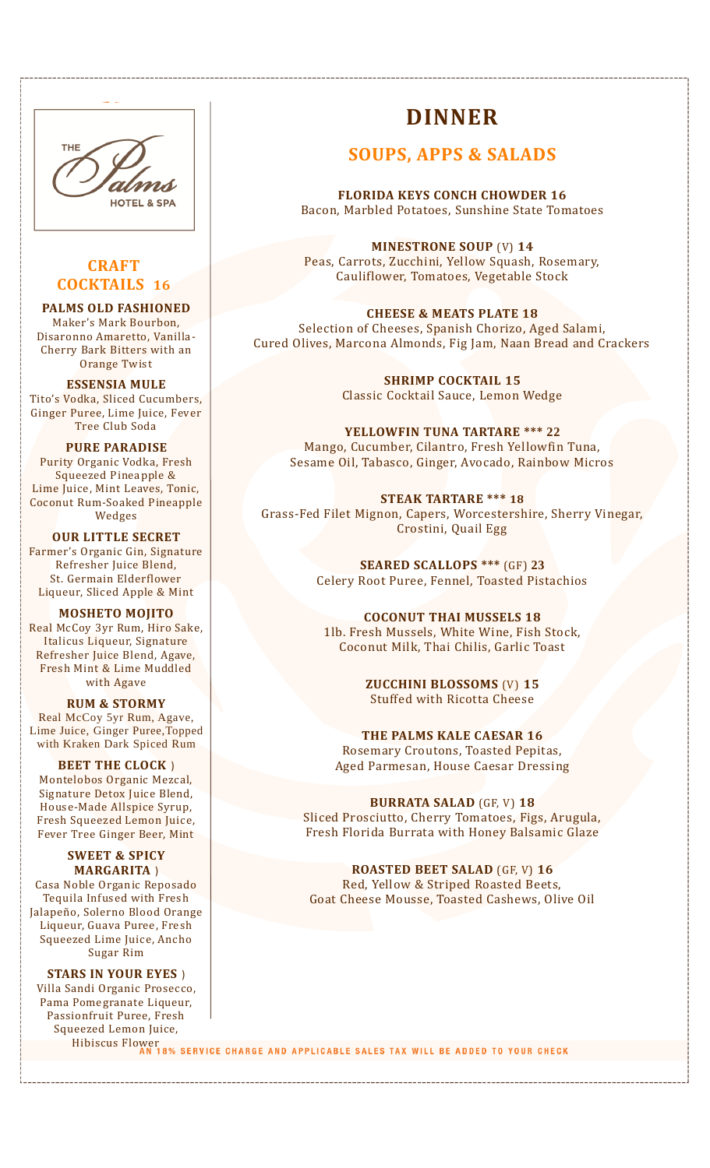

## **CRAFT COCKTAILS 16**

#### **PALMS OLD FASHIONED**

Maker's Mark Bourbon, Disaronno Amaretto, Vanilla-Cherry Bark Bitters with an Orange Twist

**ESSENSIA MULE** Tito's Vodka, Sliced Cucumbers, Ginger Puree, Lime Juice, Fever Tree Club Soda

#### **PURE PARADISE**

Purity Organic Vodka, Fresh Squeezed Pineapple & Lime Juice, Mint Leaves, Tonic, Coconut Rum-Soaked Pineapple Wedges

**OUR LITTLE SECRET** Farmer's Organic Gin, Signature Refresher Juice Blend, St. Germain Elderflower Liqueur, Sliced Apple & Mint

**MOSHETO MOJITO** Real McCoy 3yr Rum, Hiro Sake, Italicus Liqueur, Signature Refresher Juice Blend, Agave, Fresh Mint & Lime Muddled with Agave

### **RUM & STORMY**

Real McCoy 5yr Rum, Agave, Lime Juice, Ginger Puree,Topped with Kraken Dark Spiced Rum

**BEET THE CLOCK** ) Montelobos Organic Mezcal, Signature Detox Juice Blend, House-Made Allspice Syrup, Fresh Squeezed Lemon Juice, Fever Tree Ginger Beer, Mint

**SWEET & SPICY MARGARITA** ) Casa Noble Organic Reposado Tequila Infused with Fresh Jalapeño, Solerno Blood Orange Liqueur, Guava Puree, Fresh Squeezed Lime Juice, Ancho

Sugar Rim **STARS IN YOUR EYES** ) Villa Sandi Organic Prosecco, Pama Pomegranate Liqueur, Passionfruit Puree, Fresh Squeezed Lemon Juice,

# **DINNER**

## **SOUPS, APPS & SALADS**

**FLORIDA KEYS CONCH CHOWDER 16** Bacon, Marbled Potatoes, Sunshine State Tomatoes

**MINESTRONE SOUP** (V) **14** Peas, Carrots, Zucchini, Yellow Squash, Rosemary, Cauliflower, Tomatoes, Vegetable Stock

**CHEESE & MEATS PLATE 18** Selection of Cheeses, Spanish Chorizo, Aged Salami, Cured Olives, Marcona Almonds, Fig Jam, Naan Bread and Crackers

> **SHRIMP COCKTAIL 15** Classic Cocktail Sauce, Lemon Wedge

**YELLOWFIN TUNA TARTARE \*\*\* 22** Mango, Cucumber, Cilantro, Fresh Yellowfin Tuna, Sesame Oil, Tabasco, Ginger, Avocado, Rainbow Micros

**STEAK TARTARE \*\*\* 18** Grass-Fed Filet Mignon, Capers, Worcestershire, Sherry Vinegar, Crostini, Quail Egg

> **SEARED SCALLOPS \*\*\*** (GF) **23** Celery Root Puree, Fennel, Toasted Pistachios

**COCONUT THAI MUSSELS 18** 1lb. Fresh Mussels, White Wine, Fish Stock, Coconut Milk, Thai Chilis, Garlic Toast

> **ZUCCHINI BLOSSOMS** (V) **15** Stuffed with Ricotta Cheese

**THE PALMS KALE CAESAR 16** Rosemary Croutons, Toasted Pepitas, Aged Parmesan, House Caesar Dressing

#### **BURRATA SALAD** (GF, V) **18**

Sliced Prosciutto, Cherry Tomatoes, Figs, Arugula, Fresh Florida Burrata with Honey Balsamic Glaze

**ROASTED BEET SALAD** (GF, V) **16** Red, Yellow & Striped Roasted Beets, Goat Cheese Mousse, Toasted Cashews, Olive Oil

Hibiscus Flower<br>AN 18% SERVICE CHARGE AND APPLICABLE SALES TAX WILL BE ADDED TO YOUR CHECK